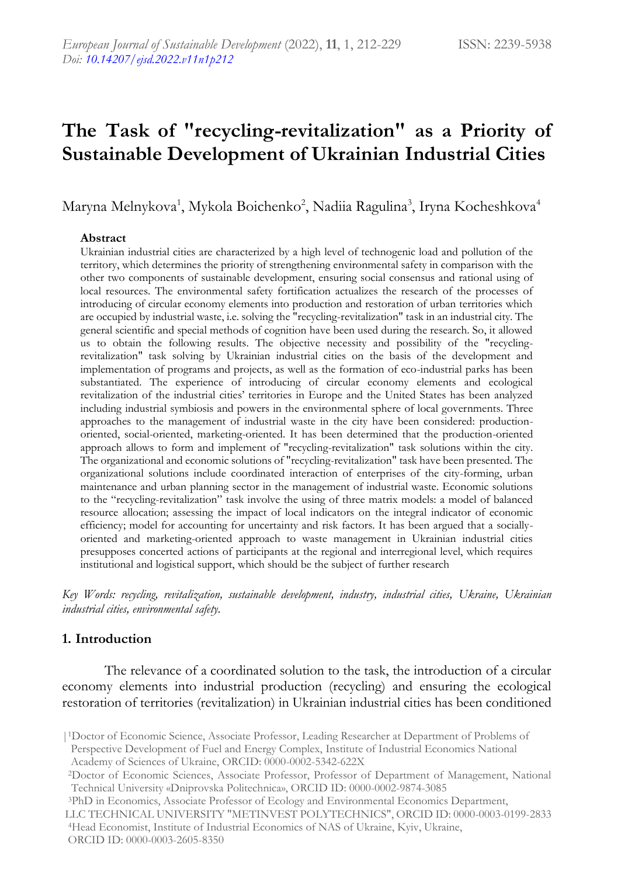# **The Task of "recycling-revitalization" as a Priority of Sustainable Development of Ukrainian Industrial Cities**

Maryna Melnykova<sup>1</sup>, Mykola Boichenko<sup>2</sup>, Nadiia Ragulina<sup>3</sup>, Iryna Kocheshkova<sup>4</sup>

#### **Abstract**

Ukrainian industrial cities are characterized by a high level of technogenic load and pollution of the territory, which determines the priority of strengthening environmental safety in comparison with the other two components of sustainable development, ensuring social consensus and rational using of local resources. The environmental safety fortification actualizes the research of the processes of introducing of circular economy elements into production and restoration of urban territories which are occupied by industrial waste, i.e. solving the "recycling-revitalization" task in an industrial city. The general scientific and special methods of cognition have been used during the research. So, it allowed us to obtain the following results. The objective necessity and possibility of the "recyclingrevitalization" task solving by Ukrainian industrial cities on the basis of the development and implementation of programs and projects, as well as the formation of eco-industrial parks has been substantiated. The experience of introducing of circular economy elements and ecological revitalization of the industrial cities' territories in Europe and the United States has been analyzed including industrial symbiosis and powers in the environmental sphere of local governments. Three approaches to the management of industrial waste in the city have been considered: productionoriented, social-oriented, marketing-oriented. It has been determined that the production-oriented approach allows to form and implement of "recycling-revitalization" task solutions within the city. The organizational and economic solutions of "recycling-revitalization" task have been presented. The organizational solutions include coordinated interaction of enterprises of the city-forming, urban maintenance and urban planning sector in the management of industrial waste. Economic solutions to the "recycling-revitalization" task involve the using of three matrix models: a model of balanced resource allocation; assessing the impact of local indicators on the integral indicator of economic efficiency; model for accounting for uncertainty and risk factors. It has been argued that a sociallyoriented and marketing-oriented approach to waste management in Ukrainian industrial cities presupposes concerted actions of participants at the regional and interregional level, which requires institutional and logistical support, which should be the subject of further research

*Key Words: recycling, revitalization, sustainable development, industry, industrial cities, Ukraine, Ukrainian industrial cities, environmental safety.*

#### **1. Introduction**

 The relevance of a coordinated solution to the task, the introduction of a circular economy elements into industrial production (recycling) and ensuring the ecological restoration of territories (revitalization) in Ukrainian industrial cities has been conditioned

<sup>|</sup>1Doctor of Economic Science, Associate Professor, Leading Researcher at Department of Problems of Perspective Development of Fuel and Energy Complex, Institute of Industrial Economics National Academy of Sciences of Ukraine, ORCID: 0000-0002-5342-622X

<sup>2</sup>Doctor of Economic Sciences, Associate Professor, Professor of Department of Management, National Technical University «Dniprovska Politechnica», ORCID ID: 0000-0002-9874-3085

<sup>3</sup>PhD in Economics, Associate Professor of Ecology and Environmental Economics Department, LLC TECHNICAL UNIVERSITY "METINVEST POLYTECHNICS", ORCID ID: 0000-0003-0199-2833 <sup>4</sup>Head Economist, Institute of Industrial Economics of NAS of Ukraine, Kyiv, Ukraine, ORCID ID: 0000-0003-2605-8350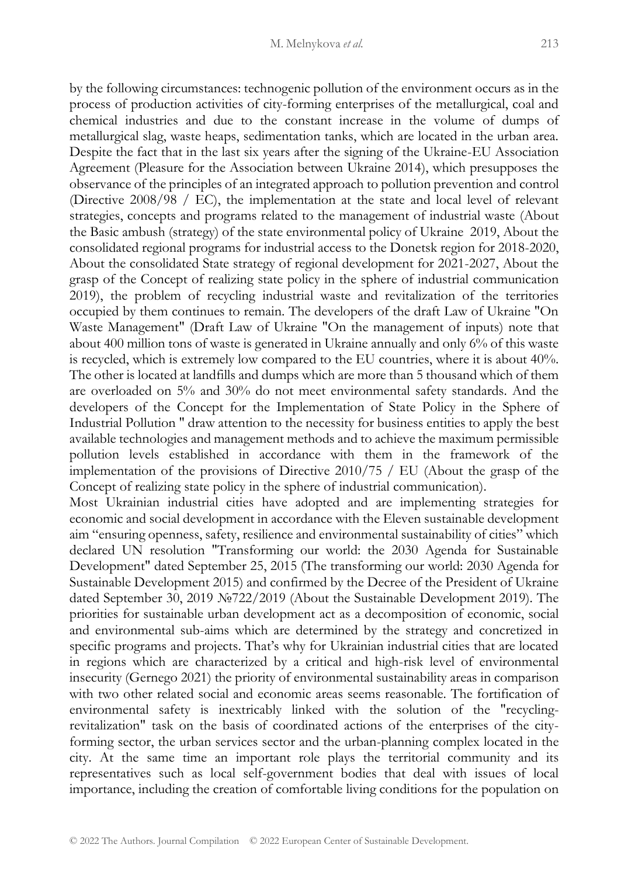by the following circumstances: technogenic pollution of the environment occurs as in the process of production activities of city-forming enterprises of the metallurgical, coal and chemical industries and due to the constant increase in the volume of dumps of metallurgical slag, waste heaps, sedimentation tanks, which are located in the urban area. Despite the fact that in the last six years after the signing of the Ukraine-EU Association Agreement (Pleasure for the Association between Ukraine 2014), which presupposes the observance of the principles of an integrated approach to pollution prevention and control (Directive 2008/98 / EC), the implementation at the state and local level of relevant strategies, concepts and programs related to the management of industrial waste (About the Basic ambush (strategy) of the state environmental policy of Ukraine 2019, About the consolidated regional programs for industrial access to the Donetsk region for 2018-2020, About the consolidated State strategy of regional development for 2021-2027, About the grasp of the Concept of realizing state policy in the sphere of industrial communication 2019), the problem of recycling industrial waste and revitalization of the territories occupied by them continues to remain. The developers of the draft Law of Ukraine "On Waste Management" (Draft Law of Ukraine "On the management of inputs) note that about 400 million tons of waste is generated in Ukraine annually and only 6% of this waste is recycled, which is extremely low compared to the EU countries, where it is about 40%. The other is located at landfills and dumps which are more than 5 thousand which of them are overloaded on 5% and 30% do not meet environmental safety standards. And the developers of the Concept for the Implementation of State Policy in the Sphere of Industrial Pollution " draw attention to the necessity for business entities to apply the best available technologies and management methods and to achieve the maximum permissible pollution levels established in accordance with them in the framework of the implementation of the provisions of Directive 2010/75 / EU (About the grasp of the Concept of realizing state policy in the sphere of industrial communication). Most Ukrainian industrial cities have adopted and are implementing strategies for

economic and social development in accordance with the Eleven sustainable development aim "ensuring openness, safety, resilience and environmental sustainability of cities" which declared UN resolution "Transforming our world: the 2030 Agenda for Sustainable Development" dated September 25, 2015 (The transforming our world: 2030 Agenda for Sustainable Development 2015) and confirmed by the Decree of the President of Ukraine dated September 30, 2019 №722/2019 (About the Sustainable Development 2019). The priorities for sustainable urban development act as a decomposition of economic, social and environmental sub-aims which are determined by the strategy and concretized in specific programs and projects. That's why for Ukrainian industrial cities that are located in regions which are characterized by a critical and high-risk level of environmental insecurity (Gernego 2021) the priority of environmental sustainability areas in comparison with two other related social and economic areas seems reasonable. The fortification of environmental safety is inextricably linked with the solution of the "recyclingrevitalization" task on the basis of coordinated actions of the enterprises of the cityforming sector, the urban services sector and the urban-planning complex located in the city. At the same time an important role plays the territorial community and its representatives such as local self-government bodies that deal with issues of local importance, including the creation of comfortable living conditions for the population on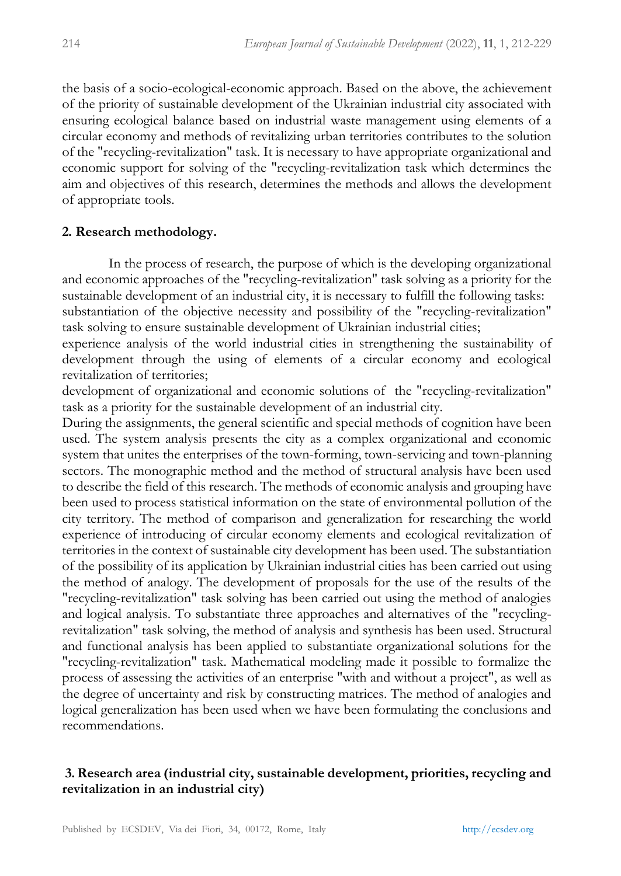the basis of a socio-ecological-economic approach. Based on the above, the achievement of the priority of sustainable development of the Ukrainian industrial city associated with ensuring ecological balance based on industrial waste management using elements of a circular economy and methods of revitalizing urban territories contributes to the solution of the "recycling-revitalization" task. It is necessary to have appropriate organizational and economic support for solving of the "recycling-revitalization task which determines the aim and objectives of this research, determines the methods and allows the development of appropriate tools.

#### **2. Research methodology.**

In the process of research, the purpose of which is the developing organizational and economic approaches of the "recycling-revitalization" task solving as a priority for the sustainable development of an industrial city, it is necessary to fulfill the following tasks: substantiation of the objective necessity and possibility of the "recycling-revitalization" task solving to ensure sustainable development of Ukrainian industrial cities;

experience analysis of the world industrial cities in strengthening the sustainability of development through the using of elements of a circular economy and ecological revitalization of territories;

development of organizational and economic solutions of the "recycling-revitalization" task as a priority for the sustainable development of an industrial city.

During the assignments, the general scientific and special methods of cognition have been used. The system analysis presents the city as a complex organizational and economic system that unites the enterprises of the town-forming, town-servicing and town-planning sectors. The monographic method and the method of structural analysis have been used to describe the field of this research. The methods of economic analysis and grouping have been used to process statistical information on the state of environmental pollution of the city territory. The method of comparison and generalization for researching the world experience of introducing of circular economy elements and ecological revitalization of territories in the context of sustainable city development has been used. The substantiation of the possibility of its application by Ukrainian industrial cities has been carried out using the method of analogy. The development of proposals for the use of the results of the "recycling-revitalization" task solving has been carried out using the method of analogies and logical analysis. To substantiate three approaches and alternatives of the "recyclingrevitalization" task solving, the method of analysis and synthesis has been used. Structural and functional analysis has been applied to substantiate organizational solutions for the "recycling-revitalization" task. Mathematical modeling made it possible to formalize the process of assessing the activities of an enterprise "with and without a project", as well as the degree of uncertainty and risk by constructing matrices. The method of analogies and logical generalization has been used when we have been formulating the conclusions and recommendations.

## **3. Research area (industrial city, sustainable development, priorities, recycling and revitalization in an industrial city)**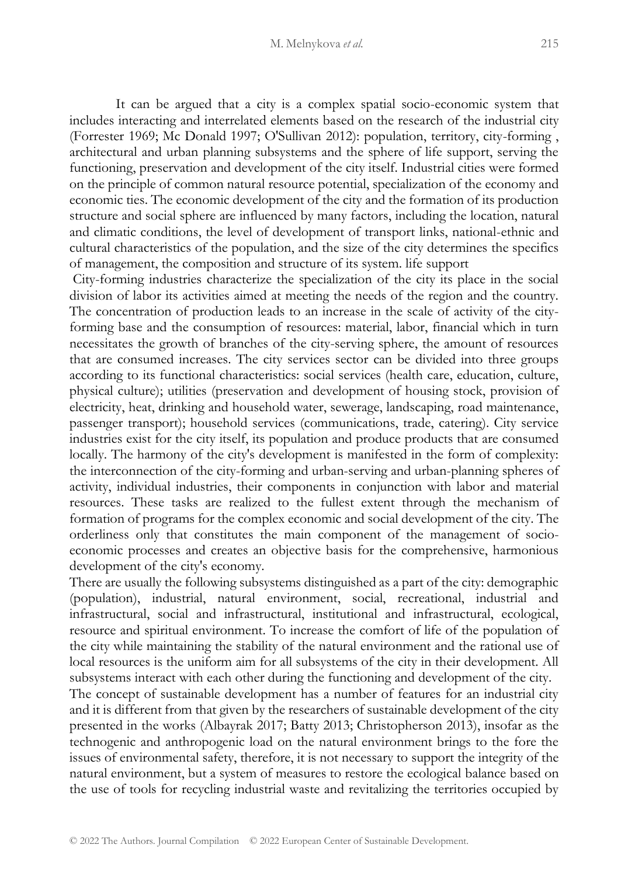It can be argued that a city is a complex spatial socio-economic system that includes interacting and interrelated elements based on the research of the industrial city (Forrester 1969; Mc Donald 1997; O'Sullivan 2012): population, territory, city-forming , architectural and urban planning subsystems and the sphere of life support, serving the functioning, preservation and development of the city itself. Industrial cities were formed on the principle of common natural resource potential, specialization of the economy and economic ties. The economic development of the city and the formation of its production structure and social sphere are influenced by many factors, including the location, natural and climatic conditions, the level of development of transport links, national-ethnic and cultural characteristics of the population, and the size of the city determines the specifics of management, the composition and structure of its system. life support

City-forming industries characterize the specialization of the city its place in the social division of labor its activities aimed at meeting the needs of the region and the country. The concentration of production leads to an increase in the scale of activity of the cityforming base and the consumption of resources: material, labor, financial which in turn necessitates the growth of branches of the city-serving sphere, the amount of resources that are consumed increases. The city services sector can be divided into three groups according to its functional characteristics: social services (health care, education, culture, physical culture); utilities (preservation and development of housing stock, provision of electricity, heat, drinking and household water, sewerage, landscaping, road maintenance, passenger transport); household services (communications, trade, catering). City service industries exist for the city itself, its population and produce products that are consumed locally. The harmony of the city's development is manifested in the form of complexity: the interconnection of the city-forming and urban-serving and urban-planning spheres of activity, individual industries, their components in conjunction with labor and material resources. These tasks are realized to the fullest extent through the mechanism of formation of programs for the complex economic and social development of the city. The orderliness only that constitutes the main component of the management of socioeconomic processes and creates an objective basis for the comprehensive, harmonious development of the city's economy.

There are usually the following subsystems distinguished as a part of the city: demographic (population), industrial, natural environment, social, recreational, industrial and infrastructural, social and infrastructural, institutional and infrastructural, ecological, resource and spiritual environment. To increase the comfort of life of the population of the city while maintaining the stability of the natural environment and the rational use of local resources is the uniform aim for all subsystems of the city in their development. All subsystems interact with each other during the functioning and development of the city.

The concept of sustainable development has a number of features for an industrial city and it is different from that given by the researchers of sustainable development of the city presented in the works (Albayrak 2017; Batty 2013; Christopherson 2013), insofar as the technogenic and anthropogenic load on the natural environment brings to the fore the issues of environmental safety, therefore, it is not necessary to support the integrity of the natural environment, but a system of measures to restore the ecological balance based on the use of tools for recycling industrial waste and revitalizing the territories occupied by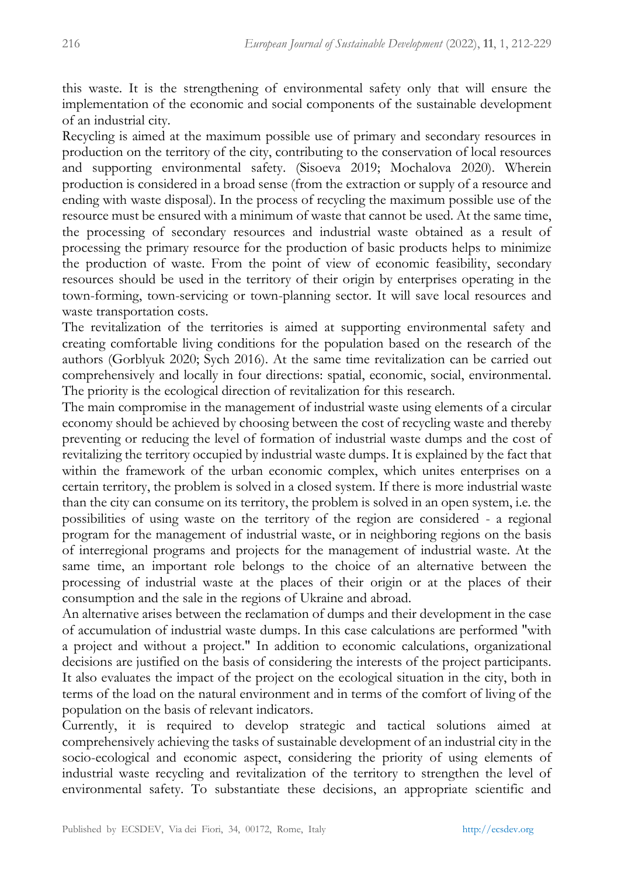this waste. It is the strengthening of environmental safety only that will ensure the implementation of the economic and social components of the sustainable development of an industrial city.

Recycling is aimed at the maximum possible use of primary and secondary resources in production on the territory of the city, contributing to the conservation of local resources and supporting environmental safety. (Sisoeva 2019; Mochalova 2020). Wherein production is considered in a broad sense (from the extraction or supply of a resource and ending with waste disposal). In the process of recycling the maximum possible use of the resource must be ensured with a minimum of waste that cannot be used. At the same time, the processing of secondary resources and industrial waste obtained as a result of processing the primary resource for the production of basic products helps to minimize the production of waste. From the point of view of economic feasibility, secondary resources should be used in the territory of their origin by enterprises operating in the town-forming, town-servicing or town-planning sector. It will save local resources and waste transportation costs.

The revitalization of the territories is aimed at supporting environmental safety and creating comfortable living conditions for the population based on the research of the authors (Gorblyuk 2020; Sych 2016). At the same time revitalization can be carried out comprehensively and locally in four directions: spatial, economic, social, environmental. The priority is the ecological direction of revitalization for this research.

The main compromise in the management of industrial waste using elements of a circular economy should be achieved by choosing between the cost of recycling waste and thereby preventing or reducing the level of formation of industrial waste dumps and the cost of revitalizing the territory occupied by industrial waste dumps. It is explained by the fact that within the framework of the urban economic complex, which unites enterprises on a certain territory, the problem is solved in a closed system. If there is more industrial waste than the city can consume on its territory, the problem is solved in an open system, i.e. the possibilities of using waste on the territory of the region are considered - a regional program for the management of industrial waste, or in neighboring regions on the basis of interregional programs and projects for the management of industrial waste. At the same time, an important role belongs to the choice of an alternative between the processing of industrial waste at the places of their origin or at the places of their consumption and the sale in the regions of Ukraine and abroad.

An alternative arises between the reclamation of dumps and their development in the case of accumulation of industrial waste dumps. In this case calculations are performed "with a project and without a project." In addition to economic calculations, organizational decisions are justified on the basis of considering the interests of the project participants. It also evaluates the impact of the project on the ecological situation in the city, both in terms of the load on the natural environment and in terms of the comfort of living of the population on the basis of relevant indicators.

Currently, it is required to develop strategic and tactical solutions aimed at comprehensively achieving the tasks of sustainable development of an industrial city in the socio-ecological and economic aspect, considering the priority of using elements of industrial waste recycling and revitalization of the territory to strengthen the level of environmental safety. To substantiate these decisions, an appropriate scientific and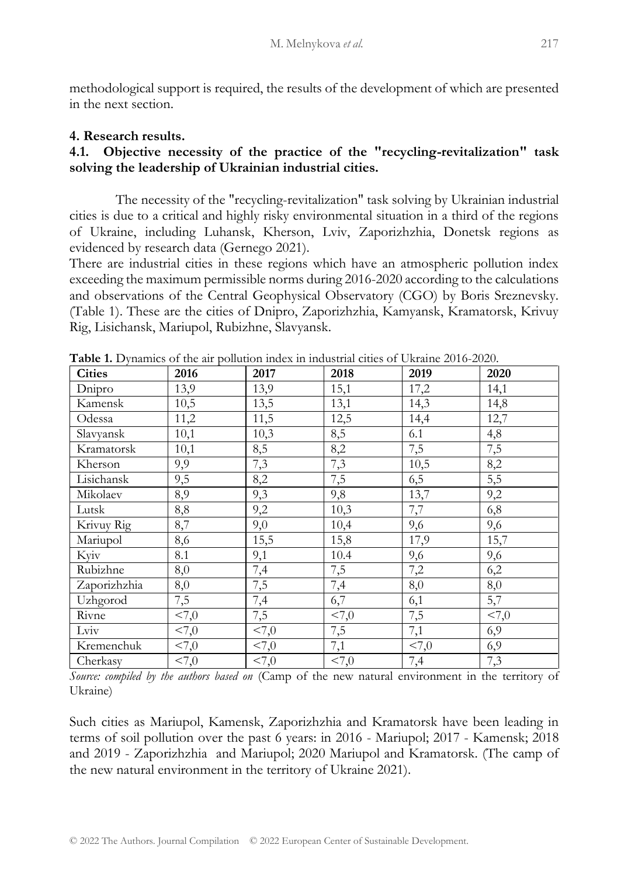methodological support is required, the results of the development of which are presented in the next section.

#### **4. Research results.**

## **4.1. Objective necessity of the practice of the "recycling-revitalization" task solving the leadership of Ukrainian industrial cities.**

The necessity of the "recycling-revitalization" task solving by Ukrainian industrial cities is due to a critical and highly risky environmental situation in a third of the regions of Ukraine, including Luhansk, Kherson, Lviv, Zaporizhzhia, Donetsk regions as evidenced by research data (Gernego 2021).

There are industrial cities in these regions which have an atmospheric pollution index exceeding the maximum permissible norms during 2016-2020 according to the calculations and observations of the Central Geophysical Observatory (CGO) by Boris Sreznevsky. (Table 1). These are the cities of Dnipro, Zaporizhzhia, Kamyansk, Kramatorsk, Krivuy Rig, Lisichansk, Mariupol, Rubizhne, Slavyansk.

| <b>Cities</b> | 2016    | 2017       | 2018             | 2019  | 2020   |  |  |  |
|---------------|---------|------------|------------------|-------|--------|--|--|--|
| Dnipro        | 13,9    | 13,9       | 15,1             | 17,2  | 14,1   |  |  |  |
| Kamensk       | 10,5    | 13,5       | 13,1             | 14,3  | 14,8   |  |  |  |
| Odessa        | 11,2    | 11,5       | 12,5             | 14,4  | 12,7   |  |  |  |
| Slavyansk     | 10,1    | 10,3       | 8,5              | 6.1   | 4,8    |  |  |  |
| Kramatorsk    | 10,1    | 8,5        | 8,2              | 7,5   | 7,5    |  |  |  |
| Kherson       | 9,9     | 7,3        | 7,3              | 10,5  | 8,2    |  |  |  |
| Lisichansk    | 9,5     | 8,2        | 7,5              | 6,5   | 5,5    |  |  |  |
| Mikolaev      | 8,9     | 9,3        | 9,8              | 13,7  | 9,2    |  |  |  |
| Lutsk         | 8,8     | 9,2        | 10,3             | 7,7   | 6,8    |  |  |  |
| Krivuy Rig    | 8,7     | 9,0        | 10,4             | 9,6   | 9,6    |  |  |  |
| Mariupol      | 8,6     | 15,5       | 15,8             | 17,9  | 15,7   |  |  |  |
| Kyiv          | 8.1     | 9,1        | 10.4             | 9,6   | 9,6    |  |  |  |
| Rubizhne      | 8,0     | 7,4        | 7,5              | 7,2   | 6,2    |  |  |  |
| Zaporizhzhia  | $8,\!0$ | 7,5        | 7,4              | 8,0   | 8,0    |  |  |  |
| Uzhgorod      | 7,5     | 7,4        | 6,7              | 6,1   | 5,7    |  |  |  |
| Rivne         | 55,0    | 7,5        | $\overline{2,0}$ | 7,5   | < 7, 0 |  |  |  |
| Lviv          | < 7,0   | <7,0       | 7,5              | 7,1   | 6,9    |  |  |  |
| Kremenchuk    | < 7,0   | $55 - 7,0$ | 7,1              | < 7,0 | 6,9    |  |  |  |
| Cherkasy      | < 7,0   | <7,0       | < 7,0            | 7,4   | 7,3    |  |  |  |

**Table 1.** Dynamics of the air pollution index in industrial cities of Ukraine 2016-2020.

*Source: compiled by the authors based on* (Camp of the new natural environment in the territory of Ukraine)

Such cities as Mariupol, Kamensk, Zaporizhzhia and Kramatorsk have been leading in terms of soil pollution over the past 6 years: in 2016 - Mariupol; 2017 - Kamensk; 2018 and 2019 - Zaporizhzhia and Mariupol; 2020 Mariupol and Kramatorsk. (The camp of the new natural environment in the territory of Ukraine 2021).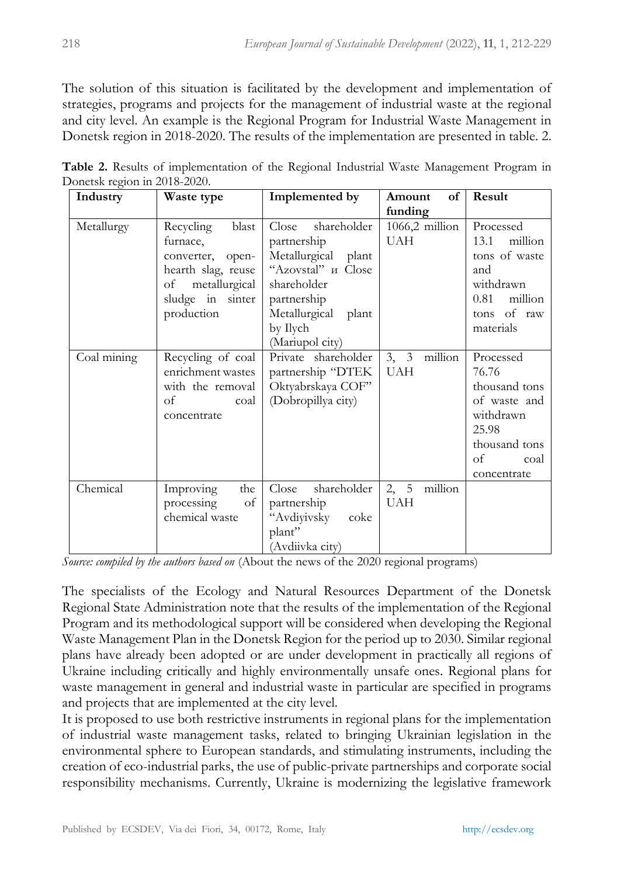The solution of this situation is facilitated by the development and implementation of strategies, programs and projects for the management of industrial waste at the regional and city level. An example is the Regional Program for Industrial Waste Management in Donetsk region in 2018-2020. The results of the implementation are presented in table. 2.

| - 0<br>Industry | Waste type                                                                                                                        | Implemented by                                                                                                                        | of<br>Amount                  | Result                                                                                                                  |  |  |  |
|-----------------|-----------------------------------------------------------------------------------------------------------------------------------|---------------------------------------------------------------------------------------------------------------------------------------|-------------------------------|-------------------------------------------------------------------------------------------------------------------------|--|--|--|
|                 |                                                                                                                                   |                                                                                                                                       | funding                       |                                                                                                                         |  |  |  |
| Metallurgy      | blast<br>Recycling<br>furnace,<br>converter, open-<br>hearth slag, reuse<br>metallurgical<br>of<br>sludge in sinter<br>production | shareholder<br>Close<br>partnership<br>Metallurgical plant<br>"Azovstal" H Close<br>shareholder<br>partnership<br>Metallurgical plant | $1066,2$ million<br>UAH       | Processed<br>million<br>13.1<br>tons of waste<br>and<br>withdrawn<br>million<br>0.81<br>of raw<br>tons                  |  |  |  |
|                 |                                                                                                                                   | by Ilych<br>(Mariupol city)                                                                                                           |                               | materials                                                                                                               |  |  |  |
| Coal mining     | Recycling of coal<br>enrichment wastes<br>with the removal<br>of<br>coal<br>concentrate                                           | Private shareholder<br>partnership "DTEK<br>Oktyabrskaya COF"<br>(Dobropillya city)                                                   | 3, 3<br>million<br><b>UAH</b> | Processed<br>76.76<br>thousand tons<br>of waste and<br>withdrawn<br>25.98<br>thousand tons<br>οf<br>coal<br>concentrate |  |  |  |
| Chemical        | Improving<br>the<br>of<br>processing<br>chemical waste                                                                            | shareholder<br>Close<br>partnership<br>"Avdiyivsky<br>coke<br>plant"<br>(Avdiivka city)                                               | 2, 5<br>million<br><b>UAH</b> |                                                                                                                         |  |  |  |

**Table 2.** Results of implementation of the Regional Industrial Waste Management Program in Donetsk region in 2018-2020.

*Source: compiled by the authors based on* (About the news of the 2020 regional programs)

The specialists of the Ecology and Natural Resources Department of the Donetsk Regional State Administration note that the results of the implementation of the Regional Program and its methodological support will be considered when developing the Regional Waste Management Plan in the Donetsk Region for the period up to 2030. Similar regional plans have already been adopted or are under development in practically all regions of Ukraine including critically and highly environmentally unsafe ones. Regional plans for waste management in general and industrial waste in particular are specified in programs and projects that are implemented at the city level.

It is proposed to use both restrictive instruments in regional plans for the implementation of industrial waste management tasks, related to bringing Ukrainian legislation in the environmental sphere to European standards, and stimulating instruments, including the creation of eco-industrial parks, the use of public-private partnerships and corporate social responsibility mechanisms. Currently, Ukraine is modernizing the legislative framework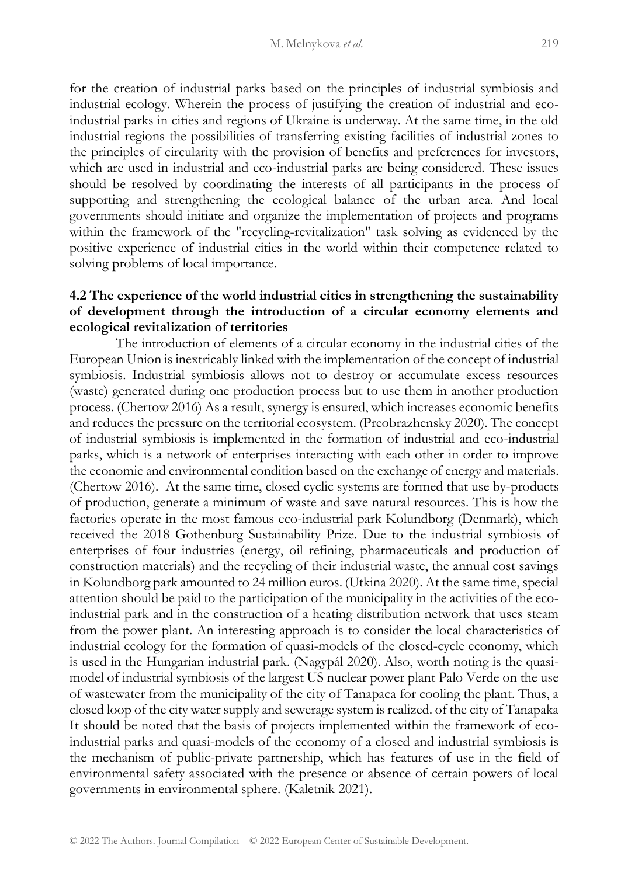for the creation of industrial parks based on the principles of industrial symbiosis and industrial ecology. Wherein the process of justifying the creation of industrial and ecoindustrial parks in cities and regions of Ukraine is underway. At the same time, in the old industrial regions the possibilities of transferring existing facilities of industrial zones to the principles of circularity with the provision of benefits and preferences for investors, which are used in industrial and eco-industrial parks are being considered. These issues should be resolved by coordinating the interests of all participants in the process of supporting and strengthening the ecological balance of the urban area. And local governments should initiate and organize the implementation of projects and programs within the framework of the "recycling-revitalization" task solving as evidenced by the positive experience of industrial cities in the world within their competence related to solving problems of local importance.

## **4.2 The experience of the world industrial cities in strengthening the sustainability of development through the introduction of a circular economy elements and ecological revitalization of territories**

The introduction of elements of a circular economy in the industrial cities of the European Union is inextricably linked with the implementation of the concept of industrial symbiosis. Industrial symbiosis allows not to destroy or accumulate excess resources (waste) generated during one production process but to use them in another production process. (Chertow 2016) As a result, synergy is ensured, which increases economic benefits and reduces the pressure on the territorial ecosystem. (Preobrazhensky 2020). The concept of industrial symbiosis is implemented in the formation of industrial and eco-industrial parks, which is a network of enterprises interacting with each other in order to improve the economic and environmental condition based on the exchange of energy and materials. (Chertow 2016). At the same time, closed cyclic systems are formed that use by-products of production, generate a minimum of waste and save natural resources. This is how the factories operate in the most famous eco-industrial park Kolundborg (Denmark), which received the 2018 Gothenburg Sustainability Prize. Due to the industrial symbiosis of enterprises of four industries (energy, oil refining, pharmaceuticals and production of construction materials) and the recycling of their industrial waste, the annual cost savings in Kolundborg park amounted to 24 million euros. (Utkina 2020). At the same time, special attention should be paid to the participation of the municipality in the activities of the ecoindustrial park and in the construction of a heating distribution network that uses steam from the power plant. An interesting approach is to consider the local characteristics of industrial ecology for the formation of quasi-models of the closed-cycle economy, which is used in the Hungarian industrial park. (Nagypál 2020). Also, worth noting is the quasimodel of industrial symbiosis of the largest US nuclear power plant Palo Verde on the use of wastewater from the municipality of the city of Tanapaca for cooling the plant. Thus, a closed loop of the city water supply and sewerage system is realized. of the city of Tanapaka It should be noted that the basis of projects implemented within the framework of ecoindustrial parks and quasi-models of the economy of a closed and industrial symbiosis is the mechanism of public-private partnership, which has features of use in the field of environmental safety associated with the presence or absence of certain powers of local governments in environmental sphere. (Kaletnik 2021).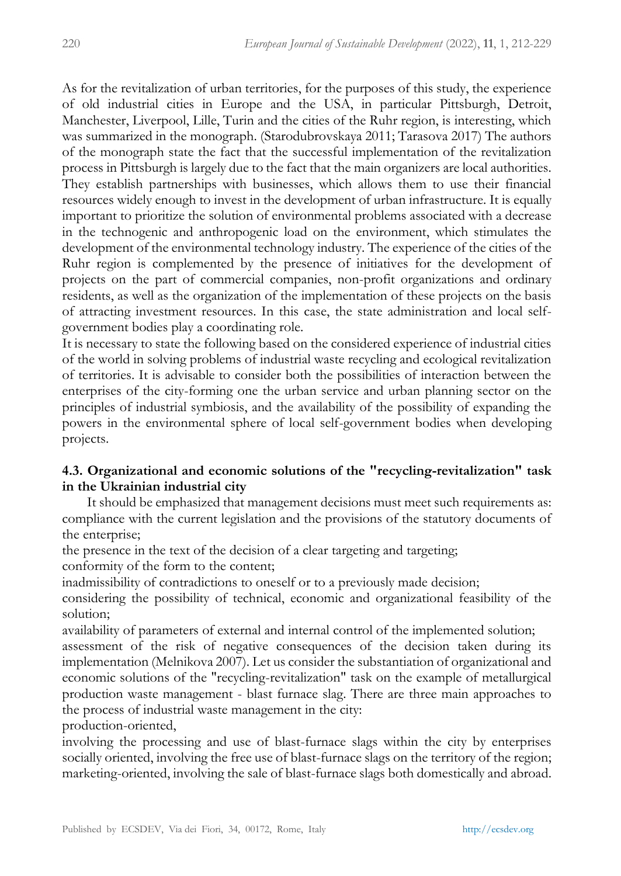As for the revitalization of urban territories, for the purposes of this study, the experience of old industrial cities in Europe and the USA, in particular Pittsburgh, Detroit, Manchester, Liverpool, Lille, Turin and the cities of the Ruhr region, is interesting, which was summarized in the monograph. (Starodubrovskaya 2011; Tarasova 2017) The authors of the monograph state the fact that the successful implementation of the revitalization process in Pittsburgh is largely due to the fact that the main organizers are local authorities. They establish partnerships with businesses, which allows them to use their financial resources widely enough to invest in the development of urban infrastructure. It is equally important to prioritize the solution of environmental problems associated with a decrease in the technogenic and anthropogenic load on the environment, which stimulates the development of the environmental technology industry. The experience of the cities of the Ruhr region is complemented by the presence of initiatives for the development of projects on the part of commercial companies, non-profit organizations and ordinary residents, as well as the organization of the implementation of these projects on the basis of attracting investment resources. In this case, the state administration and local selfgovernment bodies play a coordinating role.

It is necessary to state the following based on the considered experience of industrial cities of the world in solving problems of industrial waste recycling and ecological revitalization of territories. It is advisable to consider both the possibilities of interaction between the enterprises of the city-forming one the urban service and urban planning sector on the principles of industrial symbiosis, and the availability of the possibility of expanding the powers in the environmental sphere of local self-government bodies when developing projects.

## **4.3. Organizational and economic solutions of the "recycling-revitalization" task in the Ukrainian industrial city**

 It should be emphasized that management decisions must meet such requirements as: compliance with the current legislation and the provisions of the statutory documents of the enterprise;

the presence in the text of the decision of a clear targeting and targeting;

conformity of the form to the content;

inadmissibility of contradictions to oneself or to a previously made decision;

considering the possibility of technical, economic and organizational feasibility of the solution;

availability of parameters of external and internal control of the implemented solution; assessment of the risk of negative consequences of the decision taken during its implementation (Melnikova 2007). Let us consider the substantiation of organizational and economic solutions of the "recycling-revitalization" task on the example of metallurgical production waste management - blast furnace slag. There are three main approaches to the process of industrial waste management in the city:

production-oriented,

involving the processing and use of blast-furnace slags within the city by enterprises socially oriented, involving the free use of blast-furnace slags on the territory of the region; marketing-oriented, involving the sale of blast-furnace slags both domestically and abroad.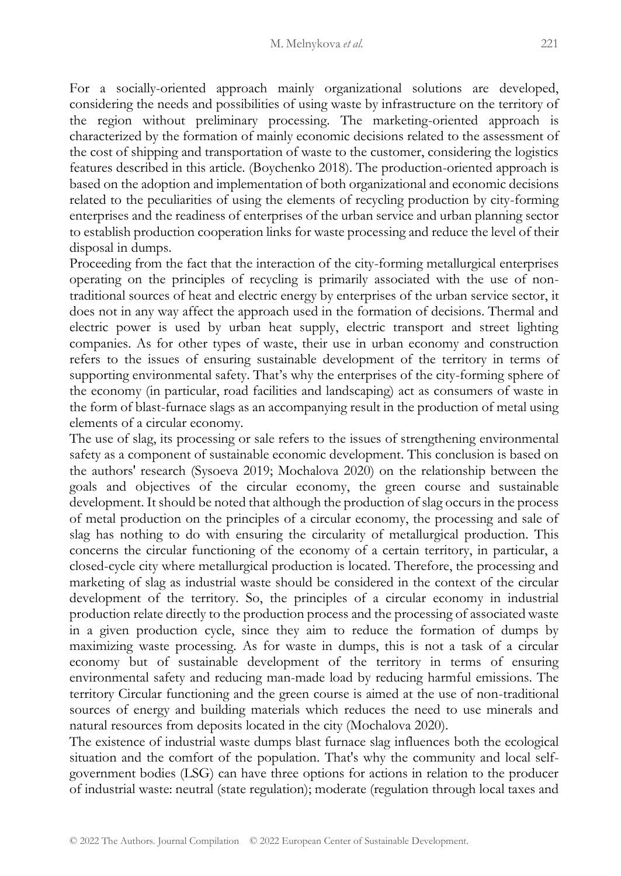For a socially-oriented approach mainly organizational solutions are developed, considering the needs and possibilities of using waste by infrastructure on the territory of the region without preliminary processing. The marketing-oriented approach is characterized by the formation of mainly economic decisions related to the assessment of the cost of shipping and transportation of waste to the customer, considering the logistics features described in this article. (Boychenko 2018). The production-oriented approach is based on the adoption and implementation of both organizational and economic decisions related to the peculiarities of using the elements of recycling production by city-forming enterprises and the readiness of enterprises of the urban service and urban planning sector to establish production cooperation links for waste processing and reduce the level of their disposal in dumps.

Proceeding from the fact that the interaction of the city-forming metallurgical enterprises operating on the principles of recycling is primarily associated with the use of nontraditional sources of heat and electric energy by enterprises of the urban service sector, it does not in any way affect the approach used in the formation of decisions. Thermal and electric power is used by urban heat supply, electric transport and street lighting companies. As for other types of waste, their use in urban economy and construction refers to the issues of ensuring sustainable development of the territory in terms of supporting environmental safety. That's why the enterprises of the city-forming sphere of the economy (in particular, road facilities and landscaping) act as consumers of waste in the form of blast-furnace slags as an accompanying result in the production of metal using elements of a circular economy.

The use of slag, its processing or sale refers to the issues of strengthening environmental safety as a component of sustainable economic development. This conclusion is based on the authors' research (Sysoeva 2019; Mochalova 2020) on the relationship between the goals and objectives of the circular economy, the green course and sustainable development. It should be noted that although the production of slag occurs in the process of metal production on the principles of a circular economy, the processing and sale of slag has nothing to do with ensuring the circularity of metallurgical production. This concerns the circular functioning of the economy of a certain territory, in particular, a closed-cycle city where metallurgical production is located. Therefore, the processing and marketing of slag as industrial waste should be considered in the context of the circular development of the territory. So, the principles of a circular economy in industrial production relate directly to the production process and the processing of associated waste in a given production cycle, since they aim to reduce the formation of dumps by maximizing waste processing. As for waste in dumps, this is not a task of a circular economy but of sustainable development of the territory in terms of ensuring environmental safety and reducing man-made load by reducing harmful emissions. The territory Circular functioning and the green course is aimed at the use of non-traditional sources of energy and building materials which reduces the need to use minerals and natural resources from deposits located in the city (Mochalova 2020).

The existence of industrial waste dumps blast furnace slag influences both the ecological situation and the comfort of the population. That's why the community and local selfgovernment bodies (LSG) can have three options for actions in relation to the producer of industrial waste: neutral (state regulation); moderate (regulation through local taxes and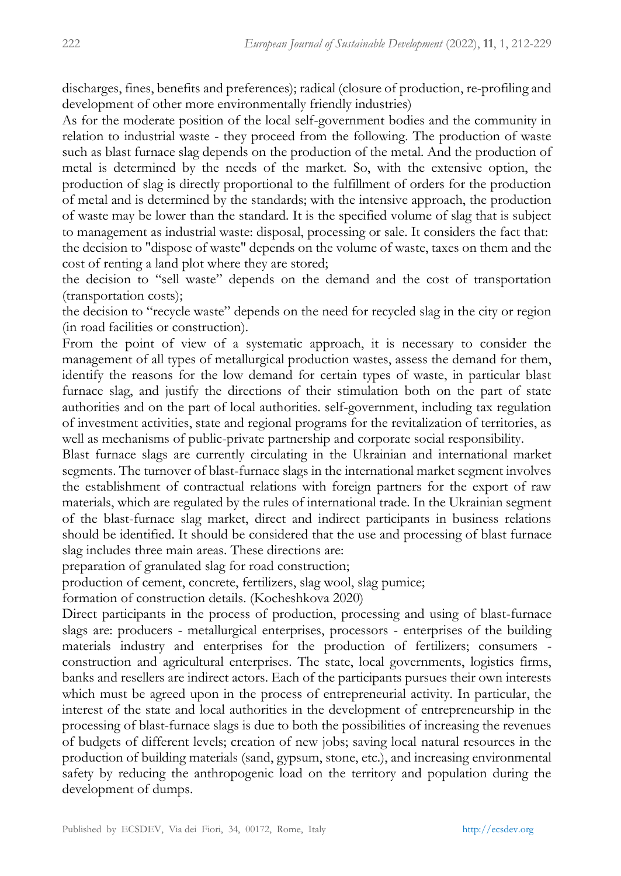discharges, fines, benefits and preferences); radical (closure of production, re-profiling and development of other more environmentally friendly industries)

As for the moderate position of the local self-government bodies and the community in relation to industrial waste - they proceed from the following. The production of waste such as blast furnace slag depends on the production of the metal. And the production of metal is determined by the needs of the market. So, with the extensive option, the production of slag is directly proportional to the fulfillment of orders for the production of metal and is determined by the standards; with the intensive approach, the production of waste may be lower than the standard. It is the specified volume of slag that is subject to management as industrial waste: disposal, processing or sale. It considers the fact that: the decision to "dispose of waste" depends on the volume of waste, taxes on them and the cost of renting a land plot where they are stored;

the decision to "sell waste" depends on the demand and the cost of transportation (transportation costs);

the decision to "recycle waste" depends on the need for recycled slag in the city or region (in road facilities or construction).

From the point of view of a systematic approach, it is necessary to consider the management of all types of metallurgical production wastes, assess the demand for them, identify the reasons for the low demand for certain types of waste, in particular blast furnace slag, and justify the directions of their stimulation both on the part of state authorities and on the part of local authorities. self-government, including tax regulation of investment activities, state and regional programs for the revitalization of territories, as well as mechanisms of public-private partnership and corporate social responsibility.

Blast furnace slags are currently circulating in the Ukrainian and international market segments. The turnover of blast-furnace slags in the international market segment involves the establishment of contractual relations with foreign partners for the export of raw materials, which are regulated by the rules of international trade. In the Ukrainian segment of the blast-furnace slag market, direct and indirect participants in business relations should be identified. It should be considered that the use and processing of blast furnace slag includes three main areas. These directions are:

preparation of granulated slag for road construction;

production of cement, concrete, fertilizers, slag wool, slag pumice;

formation of construction details. (Kocheshkova 2020)

Direct participants in the process of production, processing and using of blast-furnace slags are: producers - metallurgical enterprises, processors - enterprises of the building materials industry and enterprises for the production of fertilizers; consumers construction and agricultural enterprises. The state, local governments, logistics firms, banks and resellers are indirect actors. Each of the participants pursues their own interests which must be agreed upon in the process of entrepreneurial activity. In particular, the interest of the state and local authorities in the development of entrepreneurship in the processing of blast-furnace slags is due to both the possibilities of increasing the revenues of budgets of different levels; creation of new jobs; saving local natural resources in the production of building materials (sand, gypsum, stone, etc.), and increasing environmental safety by reducing the anthropogenic load on the territory and population during the development of dumps.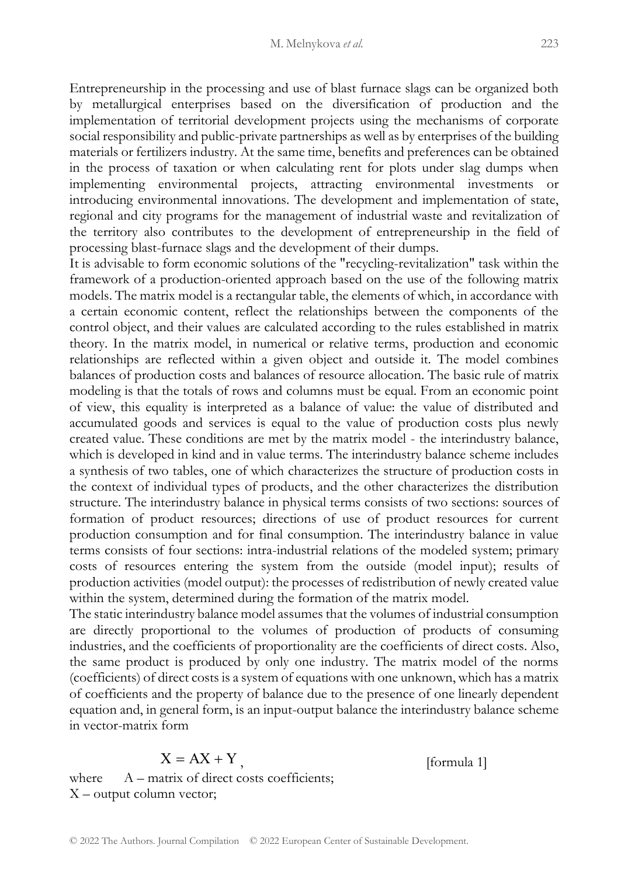Entrepreneurship in the processing and use of blast furnace slags can be organized both by metallurgical enterprises based on the diversification of production and the implementation of territorial development projects using the mechanisms of corporate social responsibility and public-private partnerships as well as by enterprises of the building materials or fertilizers industry. At the same time, benefits and preferences can be obtained in the process of taxation or when calculating rent for plots under slag dumps when implementing environmental projects, attracting environmental investments or introducing environmental innovations. The development and implementation of state, regional and city programs for the management of industrial waste and revitalization of the territory also contributes to the development of entrepreneurship in the field of processing blast-furnace slags and the development of their dumps.

It is advisable to form economic solutions of the "recycling-revitalization" task within the framework of a production-oriented approach based on the use of the following matrix models. The matrix model is a rectangular table, the elements of which, in accordance with a certain economic content, reflect the relationships between the components of the control object, and their values are calculated according to the rules established in matrix theory. In the matrix model, in numerical or relative terms, production and economic relationships are reflected within a given object and outside it. The model combines balances of production costs and balances of resource allocation. The basic rule of matrix modeling is that the totals of rows and columns must be equal. From an economic point of view, this equality is interpreted as a balance of value: the value of distributed and accumulated goods and services is equal to the value of production costs plus newly created value. These conditions are met by the matrix model - the interindustry balance, which is developed in kind and in value terms. The interindustry balance scheme includes a synthesis of two tables, one of which characterizes the structure of production costs in the context of individual types of products, and the other characterizes the distribution structure. The interindustry balance in physical terms consists of two sections: sources of formation of product resources; directions of use of product resources for current production consumption and for final consumption. The interindustry balance in value terms consists of four sections: intra-industrial relations of the modeled system; primary costs of resources entering the system from the outside (model input); results of production activities (model output): the processes of redistribution of newly created value within the system, determined during the formation of the matrix model.

The static interindustry balance model assumes that the volumes of industrial consumption are directly proportional to the volumes of production of products of consuming industries, and the coefficients of proportionality are the coefficients of direct costs. Also, the same product is produced by only one industry. The matrix model of the norms (coefficients) of direct costs is a system of equations with one unknown, which has a matrix of coefficients and the property of balance due to the presence of one linearly dependent equation and, in general form, is an input-output balance the interindustry balance scheme in vector-matrix form

$$
X = AX + Y
$$

[formula 1]

where  $A -$  matrix of direct costs coefficients; Х – output column vector;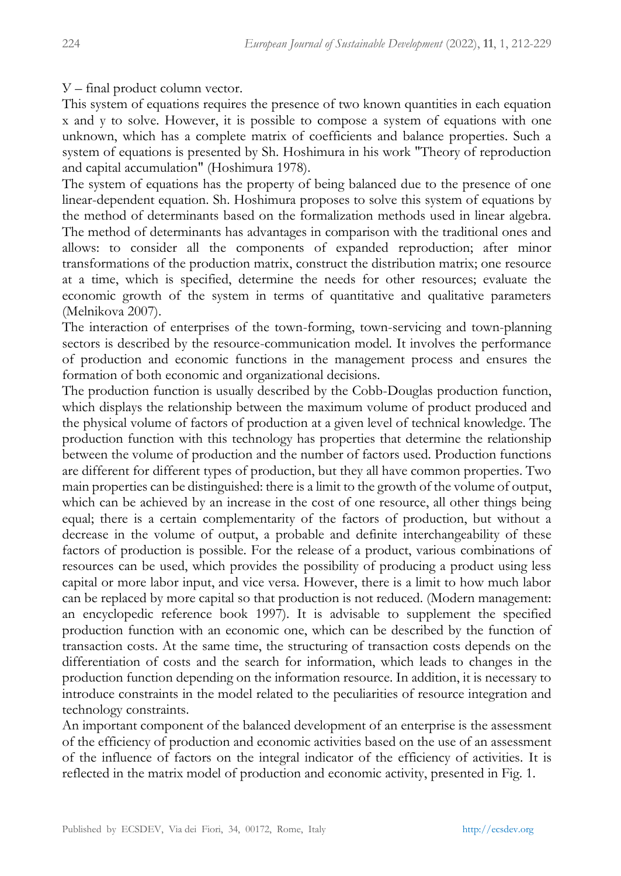У – final product column vector.

This system of equations requires the presence of two known quantities in each equation x and y to solve. However, it is possible to compose a system of equations with one unknown, which has a complete matrix of coefficients and balance properties. Such a system of equations is presented by Sh. Hoshimura in his work "Theory of reproduction and capital accumulation" (Hoshimura 1978).

The system of equations has the property of being balanced due to the presence of one linear-dependent equation. Sh. Hoshimura proposes to solve this system of equations by the method of determinants based on the formalization methods used in linear algebra. The method of determinants has advantages in comparison with the traditional ones and allows: to consider all the components of expanded reproduction; after minor transformations of the production matrix, construct the distribution matrix; one resource at a time, which is specified, determine the needs for other resources; evaluate the economic growth of the system in terms of quantitative and qualitative parameters (Melnikova 2007).

The interaction of enterprises of the town-forming, town-servicing and town-planning sectors is described by the resource-communication model. It involves the performance of production and economic functions in the management process and ensures the formation of both economic and organizational decisions.

The production function is usually described by the Cobb-Douglas production function, which displays the relationship between the maximum volume of product produced and the physical volume of factors of production at a given level of technical knowledge. The production function with this technology has properties that determine the relationship between the volume of production and the number of factors used. Production functions are different for different types of production, but they all have common properties. Two main properties can be distinguished: there is a limit to the growth of the volume of output, which can be achieved by an increase in the cost of one resource, all other things being equal; there is a certain complementarity of the factors of production, but without a decrease in the volume of output, a probable and definite interchangeability of these factors of production is possible. For the release of a product, various combinations of resources can be used, which provides the possibility of producing a product using less capital or more labor input, and vice versa. However, there is a limit to how much labor can be replaced by more capital so that production is not reduced. (Modern management: an encyclopedic reference book 1997). It is advisable to supplement the specified production function with an economic one, which can be described by the function of transaction costs. At the same time, the structuring of transaction costs depends on the differentiation of costs and the search for information, which leads to changes in the production function depending on the information resource. In addition, it is necessary to introduce constraints in the model related to the peculiarities of resource integration and technology constraints.

An important component of the balanced development of an enterprise is the assessment of the efficiency of production and economic activities based on the use of an assessment of the influence of factors on the integral indicator of the efficiency of activities. It is reflected in the matrix model of production and economic activity, presented in Fig. 1.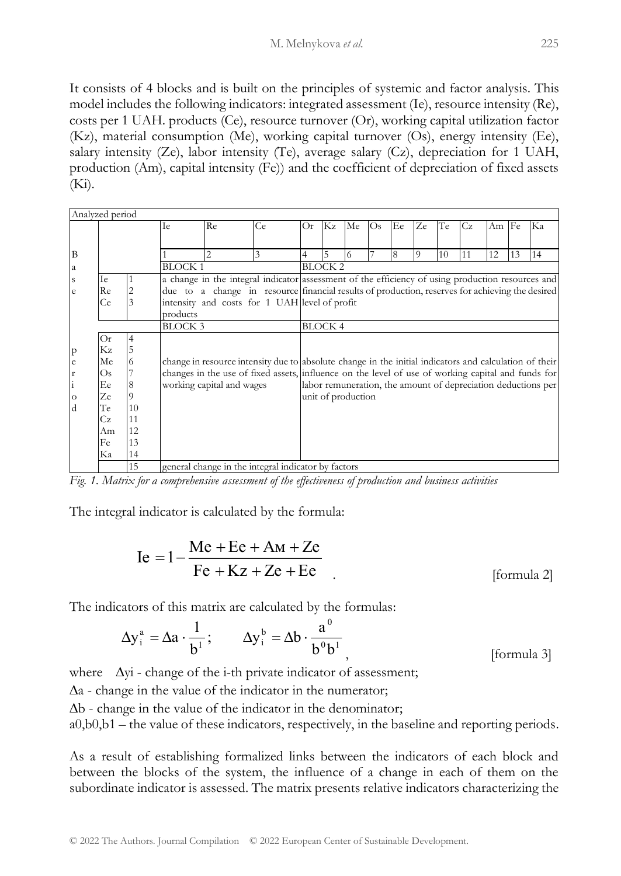It consists of 4 blocks and is built on the principles of systemic and factor analysis. This model includes the following indicators: integrated assessment (Ie), resource intensity (Re), costs per 1 UAH. products (Ce), resource turnover (Or), working capital utilization factor (Kz), material consumption (Me), working capital turnover (Os), energy intensity (Ee), salary intensity (Ze), labor intensity (Te), average salary (Cz), depreciation for 1 UAH, production (Am), capital intensity (Fe)) and the coefficient of depreciation of fixed assets  $(K_i)$ .

| Analyzed period |                |               |                                                     |                                                                                                        |                |                                                                                                   |    |                    |     |    |          |    |    |       |    |                                                               |
|-----------------|----------------|---------------|-----------------------------------------------------|--------------------------------------------------------------------------------------------------------|----------------|---------------------------------------------------------------------------------------------------|----|--------------------|-----|----|----------|----|----|-------|----|---------------------------------------------------------------|
|                 |                |               | Ie                                                  | Re                                                                                                     | Ce             | Or.                                                                                               | Kz | Me                 | Os. | Ee | Ze       | Te | Cz | Am Fe |    | Ka                                                            |
|                 |                |               |                                                     |                                                                                                        |                |                                                                                                   |    |                    |     |    |          |    |    |       |    |                                                               |
| B               |                |               |                                                     | $\mathfrak{D}$                                                                                         | 3              | $\overline{4}$                                                                                    | 5  | 6                  |     | 8  | $\Omega$ | 10 | 11 | 12    | 13 | 14                                                            |
| a               |                | <b>BLOCK1</b> |                                                     |                                                                                                        | <b>BLOCK 2</b> |                                                                                                   |    |                    |     |    |          |    |    |       |    |                                                               |
| ${\bf S}$       | Ie             |               |                                                     |                                                                                                        |                | a change in the integral indicator assessment of the efficiency of using production resources and |    |                    |     |    |          |    |    |       |    |                                                               |
| e               | Re             |               |                                                     | due to a change in resource financial results of production, reserves for achieving the desired        |                |                                                                                                   |    |                    |     |    |          |    |    |       |    |                                                               |
|                 | Ce             | 3             | intensity and costs for 1 UAH level of profit       |                                                                                                        |                |                                                                                                   |    |                    |     |    |          |    |    |       |    |                                                               |
|                 |                |               | products                                            |                                                                                                        |                |                                                                                                   |    |                    |     |    |          |    |    |       |    |                                                               |
|                 | <b>BLOCK 3</b> |               |                                                     | <b>BLOCK4</b>                                                                                          |                |                                                                                                   |    |                    |     |    |          |    |    |       |    |                                                               |
|                 | Or             |               |                                                     |                                                                                                        |                |                                                                                                   |    |                    |     |    |          |    |    |       |    |                                                               |
| $\mathbf{p}$    | Kz             | 5             |                                                     |                                                                                                        |                |                                                                                                   |    |                    |     |    |          |    |    |       |    |                                                               |
| $\mathbf e$     | Me             |               |                                                     | change in resource intensity due to absolute change in the initial indicators and calculation of their |                |                                                                                                   |    |                    |     |    |          |    |    |       |    |                                                               |
| r               | Os             |               |                                                     | changes in the use of fixed assets, influence on the level of use of working capital and funds for     |                |                                                                                                   |    |                    |     |    |          |    |    |       |    |                                                               |
| $\vdots$        | Ee             | 8             |                                                     | working capital and wages                                                                              |                |                                                                                                   |    |                    |     |    |          |    |    |       |    | labor remuneration, the amount of depreciation deductions per |
| $\circ$         | Ze             |               |                                                     |                                                                                                        |                |                                                                                                   |    | unit of production |     |    |          |    |    |       |    |                                                               |
| $\mathbf d$     | Te             | 10            |                                                     |                                                                                                        |                |                                                                                                   |    |                    |     |    |          |    |    |       |    |                                                               |
|                 | Сz             | 11            |                                                     |                                                                                                        |                |                                                                                                   |    |                    |     |    |          |    |    |       |    |                                                               |
|                 | Am             | 12            |                                                     |                                                                                                        |                |                                                                                                   |    |                    |     |    |          |    |    |       |    |                                                               |
|                 | Fe             | 13            |                                                     |                                                                                                        |                |                                                                                                   |    |                    |     |    |          |    |    |       |    |                                                               |
|                 | Ka             | 14            |                                                     |                                                                                                        |                |                                                                                                   |    |                    |     |    |          |    |    |       |    |                                                               |
|                 |                | 15            | general change in the integral indicator by factors |                                                                                                        |                |                                                                                                   |    |                    |     |    |          |    |    |       |    |                                                               |

*Fig. 1. Matrix for a comprehensive assessment of the effectiveness of production and business activities*

The integral indicator is calculated by the formula:

$$
Ie = 1 - \frac{Me + Ee + Am + Ze}{Fe + Kz + Ze + Ee}
$$
 [formula 2]

The indicators of this matrix are calculated by the formulas:

$$
\Delta y_i^a = \Delta a \cdot \frac{1}{b^1}; \qquad \Delta y_i^b = \Delta b \cdot \frac{a^0}{b^0 b^1}, \qquad \text{[formula 3]}
$$

where  $\Delta$ yi - change of the i-th private indicator of assessment;

 $\Delta a$  - change in the value of the indicator in the numerator;

 $\Delta b$  - change in the value of the indicator in the denominator;

а0,b0,b1 – the value of these indicators, respectively, in the baseline and reporting periods.

As a result of establishing formalized links between the indicators of each block and between the blocks of the system, the influence of a change in each of them on the subordinate indicator is assessed. The matrix presents relative indicators characterizing the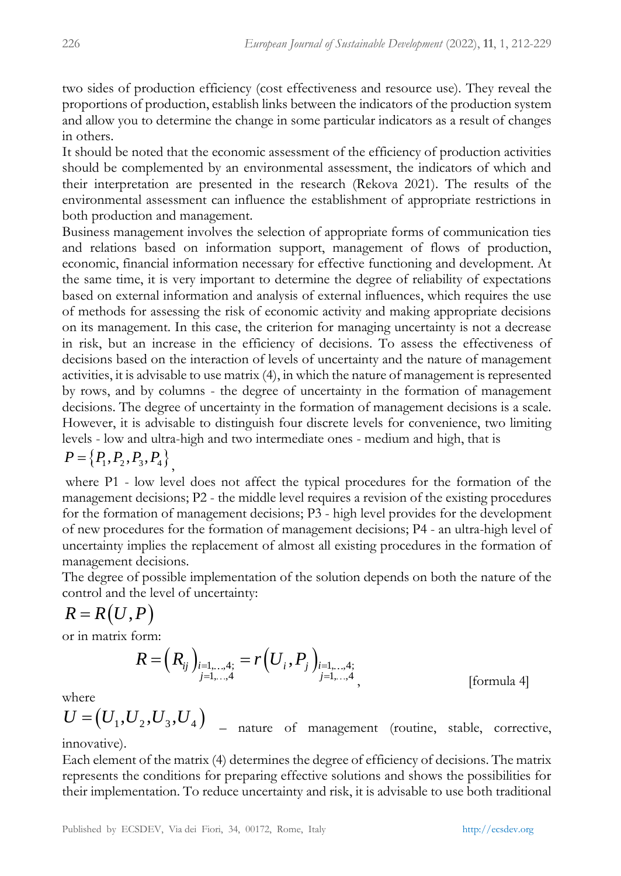two sides of production efficiency (cost effectiveness and resource use). They reveal the proportions of production, establish links between the indicators of the production system and allow you to determine the change in some particular indicators as a result of changes in others.

It should be noted that the economic assessment of the efficiency of production activities should be complemented by an environmental assessment, the indicators of which and their interpretation are presented in the research (Rekova 2021). The results of the environmental assessment can influence the establishment of appropriate restrictions in both production and management.

Business management involves the selection of appropriate forms of communication ties and relations based on information support, management of flows of production, economic, financial information necessary for effective functioning and development. At the same time, it is very important to determine the degree of reliability of expectations based on external information and analysis of external influences, which requires the use of methods for assessing the risk of economic activity and making appropriate decisions on its management. In this case, the criterion for managing uncertainty is not a decrease in risk, but an increase in the efficiency of decisions. To assess the effectiveness of decisions based on the interaction of levels of uncertainty and the nature of management activities, it is advisable to use matrix (4), in which the nature of management is represented by rows, and by columns - the degree of uncertainty in the formation of management decisions. The degree of uncertainty in the formation of management decisions is a scale. However, it is advisable to distinguish four discrete levels for convenience, two limiting levels - low and ultra-high and two intermediate ones - medium and high, that is

$$
P = \left\{P_1, P_2, P_3, P_4\right\},\
$$

where P1 - low level does not affect the typical procedures for the formation of the management decisions; P2 - the middle level requires a revision of the existing procedures for the formation of management decisions; P3 - high level provides for the development of new procedures for the formation of management decisions; P4 - an ultra-high level of uncertainty implies the replacement of almost all existing procedures in the formation of management decisions.

The degree of possible implementation of the solution depends on both the nature of the control and the level of uncertainty:

$$
R=R(U,P)
$$

or in matrix form:

$$
R = (R_{ij})_{\substack{i=1,\dots,4;\\j=1,\dots,4}} = r(U_i, P_j)_{\substack{i=1,\dots,4;\\j=1,\dots,4}},
$$
 [formula 4]

where

 $U = (U_1, U_2, U_3, U_4)$  – nature of management (routine, stable, corrective, innovative).

Each element of the matrix (4) determines the degree of efficiency of decisions. The matrix represents the conditions for preparing effective solutions and shows the possibilities for their implementation. To reduce uncertainty and risk, it is advisable to use both traditional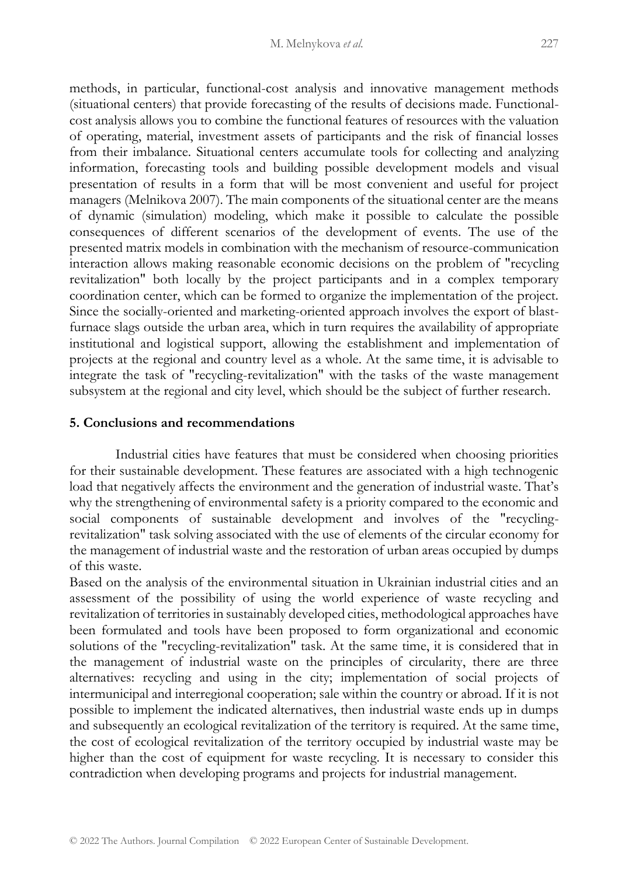methods, in particular, functional-cost analysis and innovative management methods (situational centers) that provide forecasting of the results of decisions made. Functionalcost analysis allows you to combine the functional features of resources with the valuation of operating, material, investment assets of participants and the risk of financial losses from their imbalance. Situational centers accumulate tools for collecting and analyzing information, forecasting tools and building possible development models and visual presentation of results in a form that will be most convenient and useful for project managers (Melnikova 2007). The main components of the situational center are the means of dynamic (simulation) modeling, which make it possible to calculate the possible consequences of different scenarios of the development of events. The use of the presented matrix models in combination with the mechanism of resource-communication interaction allows making reasonable economic decisions on the problem of "recycling revitalization" both locally by the project participants and in a complex temporary coordination center, which can be formed to organize the implementation of the project. Since the socially-oriented and marketing-oriented approach involves the export of blastfurnace slags outside the urban area, which in turn requires the availability of appropriate institutional and logistical support, allowing the establishment and implementation of projects at the regional and country level as a whole. At the same time, it is advisable to integrate the task of "recycling-revitalization" with the tasks of the waste management subsystem at the regional and city level, which should be the subject of further research.

#### **5. Conclusions and recommendations**

 Industrial cities have features that must be considered when choosing priorities for their sustainable development. These features are associated with a high technogenic load that negatively affects the environment and the generation of industrial waste. That's why the strengthening of environmental safety is a priority compared to the economic and social components of sustainable development and involves of the "recyclingrevitalization" task solving associated with the use of elements of the circular economy for the management of industrial waste and the restoration of urban areas occupied by dumps of this waste.

Based on the analysis of the environmental situation in Ukrainian industrial cities and an assessment of the possibility of using the world experience of waste recycling and revitalization of territories in sustainably developed cities, methodological approaches have been formulated and tools have been proposed to form organizational and economic solutions of the "recycling-revitalization" task. At the same time, it is considered that in the management of industrial waste on the principles of circularity, there are three alternatives: recycling and using in the city; implementation of social projects of intermunicipal and interregional cooperation; sale within the country or abroad. If it is not possible to implement the indicated alternatives, then industrial waste ends up in dumps and subsequently an ecological revitalization of the territory is required. At the same time, the cost of ecological revitalization of the territory occupied by industrial waste may be higher than the cost of equipment for waste recycling. It is necessary to consider this contradiction when developing programs and projects for industrial management.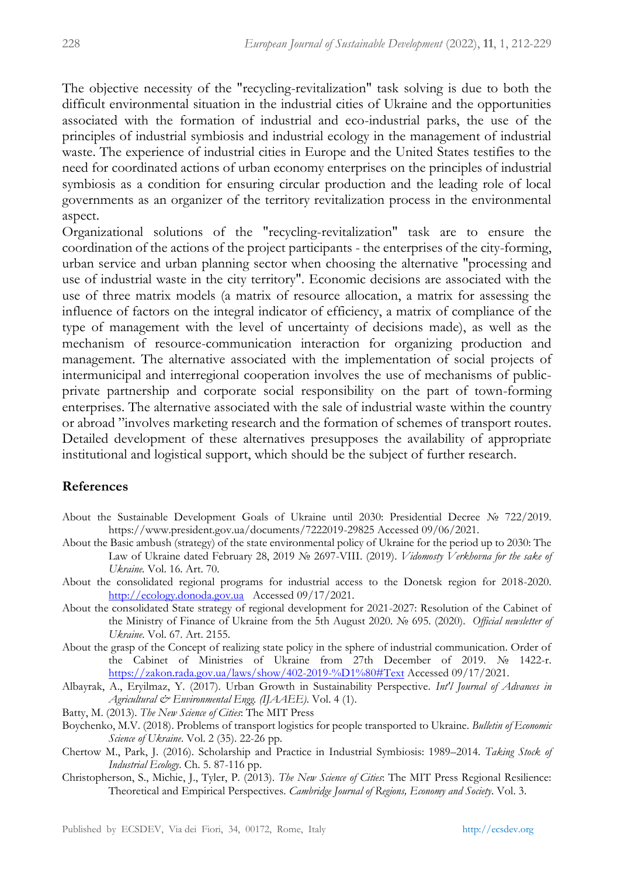The objective necessity of the "recycling-revitalization" task solving is due to both the difficult environmental situation in the industrial cities of Ukraine and the opportunities associated with the formation of industrial and eco-industrial parks, the use of the principles of industrial symbiosis and industrial ecology in the management of industrial waste. The experience of industrial cities in Europe and the United States testifies to the need for coordinated actions of urban economy enterprises on the principles of industrial symbiosis as a condition for ensuring circular production and the leading role of local governments as an organizer of the territory revitalization process in the environmental aspect.

Organizational solutions of the "recycling-revitalization" task are to ensure the coordination of the actions of the project participants - the enterprises of the city-forming, urban service and urban planning sector when choosing the alternative "processing and use of industrial waste in the city territory". Economic decisions are associated with the use of three matrix models (a matrix of resource allocation, a matrix for assessing the influence of factors on the integral indicator of efficiency, a matrix of compliance of the type of management with the level of uncertainty of decisions made), as well as the mechanism of resource-communication interaction for organizing production and management. The alternative associated with the implementation of social projects of intermunicipal and interregional cooperation involves the use of mechanisms of publicprivate partnership and corporate social responsibility on the part of town-forming enterprises. The alternative associated with the sale of industrial waste within the country or abroad "involves marketing research and the formation of schemes of transport routes. Detailed development of these alternatives presupposes the availability of appropriate institutional and logistical support, which should be the subject of further research.

#### **References**

- About the Sustainable Development Goals of Ukraine until 2030: Presidential Decree № 722/2019. <https://www.president.gov.ua/documents/7222019-29825> Accessed 09/06/2021.
- About the Basic ambush (strategy) of the state environmental policy of Ukraine for the period up to 2030: The Law of Ukraine dated February 28, 2019 № 2697-VIII. (2019). *Vidomosty Verkhovna for the sake of Ukraine.* Vol. 16. Art. 70.
- About the consolidated regional programs for industrial access to the Donetsk region for 2018-2020. [http://ecology.donoda.gov.ua](http://ecology.donoda.gov.ua/) Accessed 09/17/2021.
- About the consolidated State strategy of regional development for 2021-2027: Resolution of the Cabinet of the Ministry of Finance of Ukraine from the 5th August 2020. № 695. (2020). *Official newsletter of Ukraine*. Vol. 67. Art. 2155.
- About the grasp of the Concept of realizing state policy in the sphere of industrial communication. Order of the Cabinet of Ministries of Ukraine from 27th December of 2019. № 1422-r. <https://zakon.rada.gov.ua/laws/show/402-2019-%D1%80#Text> Accessed 09/17/2021.
- Albayrak, A., Eryilmaz, Y. (2017). Urban Growth in Sustainability Perspective*. Int'l Journal of Advances in Agricultural & Environmental Engg. (IJAAEE)*. Vol. 4 (1).
- Batty, M. (2013). *The New Science of Cities*: The MIT Press
- Boychenko, M.V. (2018). Problems of transport logistics for people transported to Ukraine. *Bulletin of Economic Science of Ukraine*. Vol. 2 (35). 22-26 pp.
- Chertow M., Park, J. (2016). Scholarship and Practice in Industrial Symbiosis: 1989–2014. *Taking Stock of Industrial Ecology*. Ch. 5. 87-116 pp.
- Christopherson, S., Michie, J., Tyler, P. (2013). *The New Science of Cities*: The MIT Press Regional Resilience: Theoretical and Empirical Perspectives. *Cambridge Journal of Regions, Economy and Society*. Vol. 3.